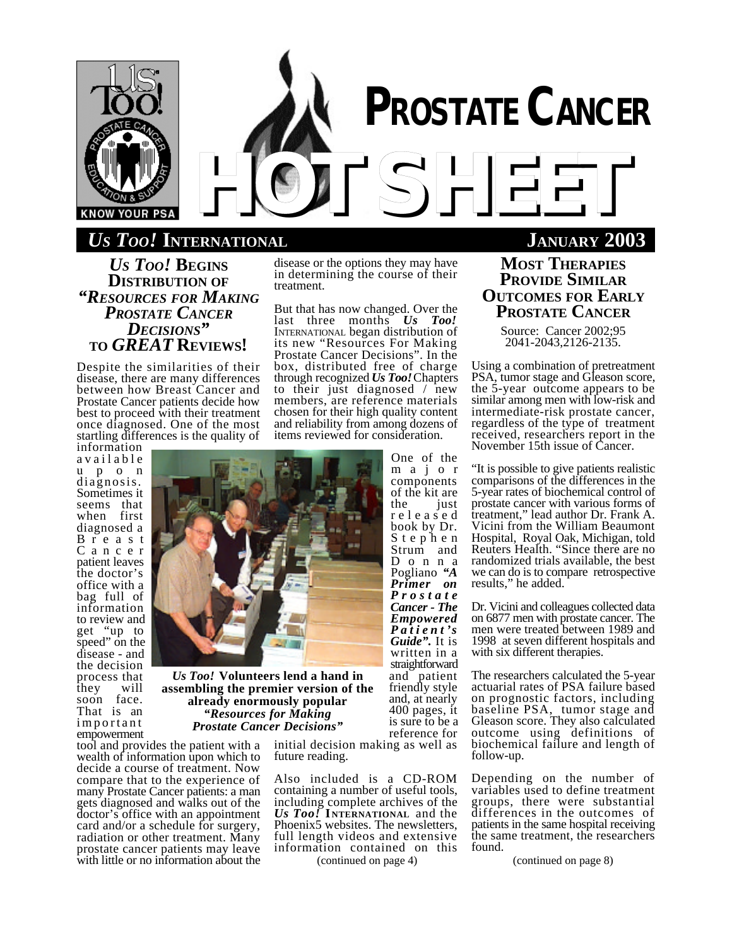

# *US TOO!* **INTERNATIONAL JANUARY 2003**

*US TOO!* **BEGINS DISTRIBUTION OF** *"RESOURCES FOR MAKING PROSTATE CANCER DECISIONS"* **TO** *GREAT* **REVIEWS!**

Despite the similarities of their disease, there are many differences between how Breast Cancer and Prostate Cancer patients decide how best to proceed with their treatment once diagnosed. One of the most startling differences is the quality of

information a v a i l a b l e u p o n diagnosis. Sometimes it seems that when first diagnosed a B r e a s t C a n c e r patient leaves the doctor's office with a bag full of information to review and get "up to speed" on the disease - and the decision process that they will soon face. That is an important empowerment

disease or the options they may have in determining the course of their treatment.

But that has now changed. Over the last three months *Us Too!* INTERNATIONAL began distribution of its new "Resources For Making Prostate Cancer Decisions". In the box, distributed free of charge through recognized *Us Too!* Chapters to their just diagnosed / new members, are reference materials chosen for their high quality content and reliability from among dozens of items reviewed for consideration.

> One of the m a j o r components of the kit are just r e l e a s e d book by Dr. S t e p h e n Strum and D o n n a Pogliano *"A Primer on P r o s t a t e Cancer - The Empowered P a t i e n t 's Guide".* It is written in a straightforward and patient friendly style and, at nearly 400 pages, it is sure to be a reference for

tool and provides the patient with a wealth of information upon which to decide a course of treatment. Now compare that to the experience of many Prostate Cancer patients: a man gets diagnosed and walks out of the doctor's office with an appointment card and/or a schedule for surgery, radiation or other treatment. Many prostate cancer patients may leave with little or no information about the *Prostate Cancer Decisions"*

initial decision making as well as future reading.

Also included is a CD-ROM containing a number of useful tools, including complete archives of the *Us Too!* **I NTERNATIONAL** and the Phoenix5 websites. The newsletters, full length videos and extensive information contained on this (continued on page 4)

# **MOST THERAPIES PROVIDE SIMILAR OUTCOMES FOR EARLY PROSTATE CANCER**

Source: Cancer 2002;95 2041-2043,2126-2135.

Using a combination of pretreatment PSA, tumor stage and Gleason score, the 5-year outcome appears to be similar among men with low-risk and intermediate-risk prostate cancer, regardless of the type of treatment received, researchers report in the November 15th issue of Cancer.

"It is possible to give patients realistic comparisons of the differences in the 5-year rates of biochemical control of prostate cancer with various forms of treatment," lead author Dr. Frank A. Vicini from the William Beaumont Hospital, Royal Oak, Michigan, told Reuters Health. "Since there are no randomized trials available, the best we can do is to compare retrospective results," he added.

Dr. Vicini and colleagues collected data on 6877 men with prostate cancer. The men were treated between 1989 and 1998 at seven different hospitals and with six different therapies.

The researchers calculated the 5-year actuarial rates of PSA failure based on prognostic factors, including baseline PSA, tumor stage and Gleason score. They also calculated outcome using definitions of biochemical failure and length of follow-up.

Depending on the number of variables used to define treatment groups, there were substantial differences in the outcomes of patients in the same hospital receiving the same treatment, the researchers found.

(continued on page 8)



**assembling the premier version of the already enormously popular** *"Resources for Making*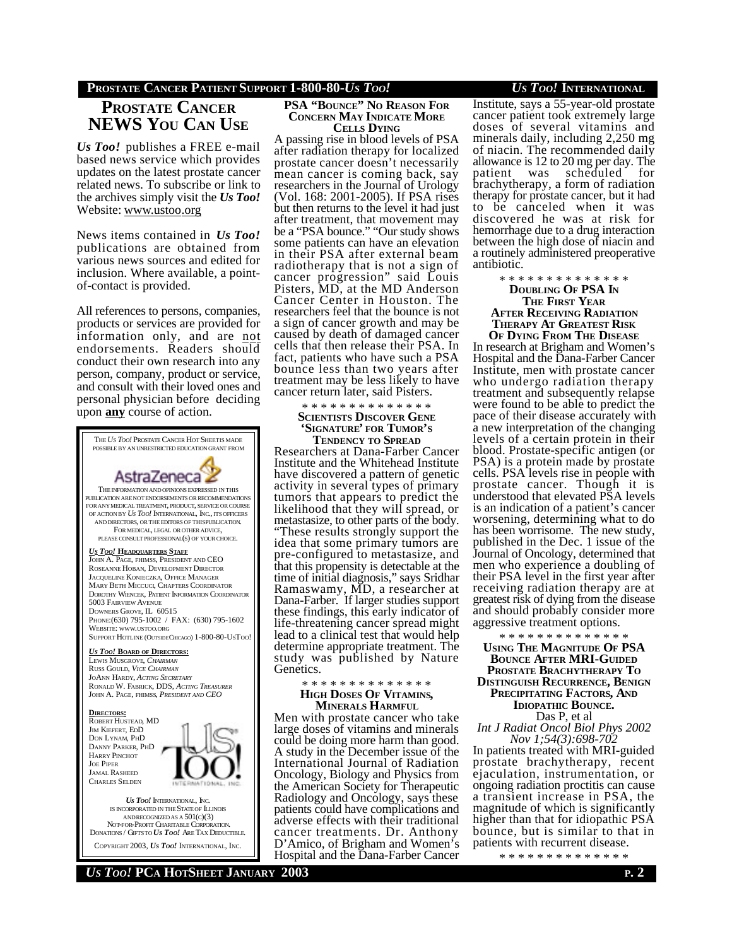### **PROSTATE CANCER PATIENT SUPPORT 1-800-80-***US TOO! US TOO!* **INTERNATIONAL**

# **PROSTATE CANCER NEWS YOU CAN USE**

*Us Too!* publishes a FREE e-mail based news service which provides updates on the latest prostate cancer related news. To subscribe or link to the archives simply visit the *Us Too!* Website: www.ustoo.org

News items contained in *Us Too!* publications are obtained from various news sources and edited for inclusion. Where available, a pointof-contact is provided.

All references to persons, companies, products or services are provided for information only, and are not endorsements. Readers should conduct their own research into any person, company, product or service, and consult with their loved ones and personal physician before deciding upon **any** course of action.



#### **PSA "BOUNCE" NO REASON FOR CONCERN MAY INDICATE MORE CELLS DYING**

A passing rise in blood levels of PSA after radiation therapy for localized prostate cancer doesn't necessarily mean cancer is coming back, say researchers in the Journal of Urology (Vol. 168: 2001-2005). If PSA rises but then returns to the level it had just after treatment, that movement may be a "PSA bounce." "Our study shows some patients can have an elevation in their PSA after external beam radiotherapy that is not a sign of cancer progression" said Louis Pisters, MD, at the MD Anderson Cancer Center in Houston. The researchers feel that the bounce is not a sign of cancer growth and may be caused by death of damaged cancer cells that then release their PSA. In fact, patients who have such a PSA bounce less than two years after treatment may be less likely to have cancer return later, said Pisters.

#### \* \* \* \* \* \* \* \* \* \* \* \* \* \*

**SCIENTISTS DISCOVER GENE 'SIGNATURE' FOR TUMOR'S**

**TENDENCY TO SPREAD** Researchers at Dana-Farber Cancer Institute and the Whitehead Institute have discovered a pattern of genetic activity in several types of primary tumors that appears to predict the likelihood that they will spread, or metastasize, to other parts of the body. "These results strongly support the idea that some primary tumors are pre-configured to metastasize, and that this propensity is detectable at the time of initial diagnosis," says Sridhar Ramaswamy, MD, a researcher at Dana-Farber. If larger studies support these findings, this early indicator of life-threatening cancer spread might lead to a clinical test that would help determine appropriate treatment. The study was published by Nature Genetics.

### \* \* \* \* \* \* \* \* \* \* \* \* \* \* **HIGH DOSES OF VITAMINS,**

**MINERALS HARMFUL** Men with prostate cancer who take large doses of vitamins and minerals could be doing more harm than good. A study in the December issue of the International Journal of Radiation Oncology, Biology and Physics from the American Society for Therapeutic Radiology and Oncology, says these patients could have complications and adverse effects with their traditional cancer treatments. Dr. Anthony D'Amico, of Brigham and Women's Hospital and the Dana-Farber Cancer

Institute, says a 55-year-old prostate cancer patient took extremely large doses of several vitamins and minerals daily, including 2,250 mg of niacin. The recommended daily allowance is 12 to 20 mg per day. The was scheduled for brachytherapy, a form of radiation therapy for prostate cancer, but it had to be canceled when it was discovered he was at risk for hemorrhage due to a drug interaction between the high dose of niacin and a routinely administered preoperative antibiotic.

> \* \* \* \* \* \* \* \* \* \* \* \* \* \* **DOUBLING OF PSA IN THE FIRST YEAR AFTER RECEIVING RADIATION THERAPY AT GREATEST RISK**

**OF DYING FROM THE DISEASE** In research at Brigham and Women's Hospital and the Dana-Farber Cancer Institute, men with prostate cancer who undergo radiation therapy treatment and subsequently relapse were found to be able to predict the pace of their disease accurately with a new interpretation of the changing levels of a certain protein in their blood. Prostate-specific antigen (or PSA) is a protein made by prostate cells. PSA levels rise in people with prostate cancer. Though it is understood that elevated PSA levels is an indication of a patient's cancer worsening, determining what to do has been worrisome. The new study, published in the Dec. 1 issue of the Journal of Oncology, determined that men who experience a doubling of their PSA level in the first year after receiving radiation therapy are at greatest risk of dying from the disease and should probably consider more aggressive treatment options.

\* \* \* \* \* \* \* \* \* \* \* \* \* \* **USING THE MAGNITUDE OF PSA BOUNCE AFTER MRI-GUIDED PROSTATE BRACHYTHERAPY TO DISTINGUISH RECURRENCE, BENIGN PRECIPITATING FACTORS, AND IDIOPATHIC BOUNCE.** Das P, et al

*Int J Radiat Oncol Biol Phys 2002 Nov 1;54(3):698-702*

In patients treated with MRI-guided prostate brachytherapy, recent ejaculation, instrumentation, or ongoing radiation proctitis can cause a transient increase in PSA, the magnitude of which is significantly higher than that for idiopathic PSA bounce, but is similar to that in patients with recurrent disease.

\* \* \* \* \* \* \* \* \* \* \* \* \* \*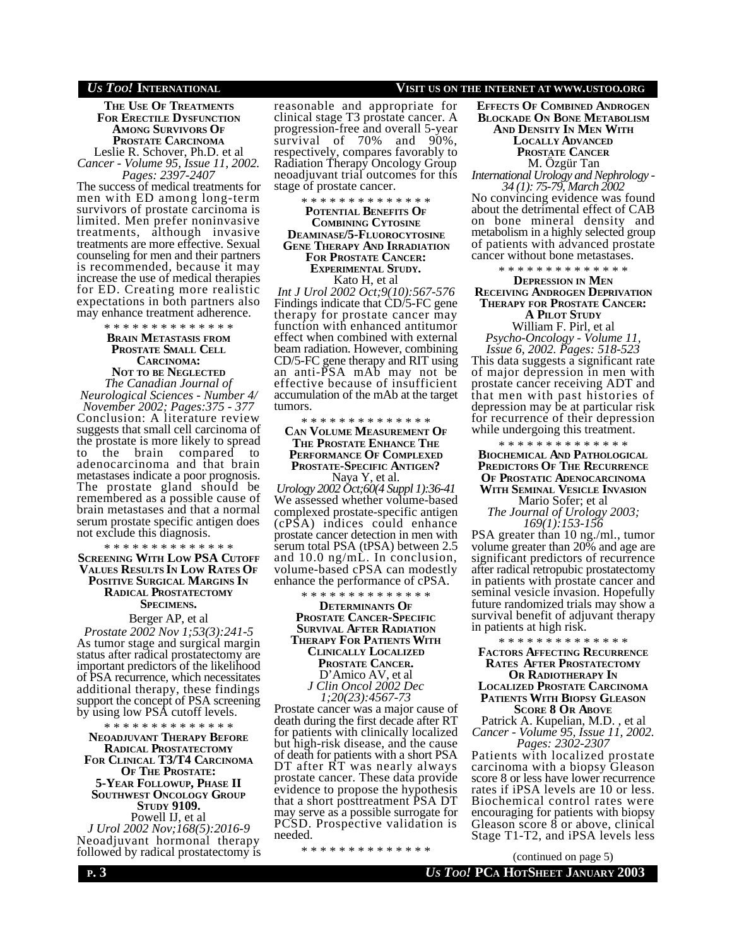**THE USE OF TREATMENTS FOR ERECTILE DYSFUNCTION AMONG SURVIVORS OF PROSTATE CARCINOMA** Leslie R. Schover, Ph.D. et al *Cancer - Volume 95, Issue 11, 2002.*

*Pages: 2397-2407* The success of medical treatments for men with ED among long-term survivors of prostate carcinoma is limited. Men prefer noninvasive treatments, although invasive treatments are more effective. Sexual

counseling for men and their partners is recommended, because it may increase the use of medical therapies for ED. Creating more realistic expectations in both partners also may enhance treatment adherence.

\* \* \* \* \* \* \* \* \* \* \* \* \* \*

## **BRAIN METASTASIS FROM PROSTATE SMALL CELL CARCINOMA:**

**NOT TO BE NEGLECTED** *The Canadian Journal of Neurological Sciences - Number 4/ November 2002; Pages:375 - 377* Conclusion: A literature review suggests that small cell carcinoma of the prostate is more likely to spread the brain compared to adenocarcinoma and that brain metastases indicate a poor prognosis. The prostate gland should be remembered as a possible cause of brain metastases and that a normal serum prostate specific antigen does not exclude this diagnosis.

\* \* \* \* \* \* \* \* \* \* \* \* \* \* **SCREENING WITH LOW PSA CUTOFF VALUES RESULTS IN LOW RATES OF POSITIVE SURGICAL MARGINS IN RADICAL PROSTATECTOMY SPECIMENS.**

Berger AP, et al *Prostate 2002 Nov 1;53(3):241-5* As tumor stage and surgical margin status after radical prostatectomy are important predictors of the likelihood of PSA recurrence, which necessitates additional therapy, these findings support the concept of PSA screening by using low PSA cutoff levels.

\* \* \* \* \* \* \* \* \* \* \* \* \* \* **NEOADJUVANT THERAPY BEFORE RADICAL PROSTATECTOMY FOR CLINICAL T3/T4 CARCINOMA OF THE PROSTATE: 5-YEAR FOLLOWUP, PHASE II SOUTHWEST ONCOLOGY GROUP STUDY 9109.** Powell IJ, et al *J Urol 2002 Nov;168(5):2016-9* Neoadjuvant hormonal therapy followed by radical prostatectomy is reasonable and appropriate for clinical stage T3 prostate cancer. A progression-free and overall 5-year<br>survival of 70% and 90%. survival of 70% respectively, compares favorably to Radiation Therapy Oncology Group neoadjuvant trial outcomes for this stage of prostate cancer.

\* \* \* \* \* \* \* \* \* \* \* \* \* \*

#### **POTENTIAL BENEFITS OF COMBINING CYTOSINE DEAMINASE/5-FLUOROCYTOSINE GENE THERAPY AND IRRADIATION FOR PROSTATE CANCER: EXPERIMENTAL STUDY.** Kato H, et al

*Int J Urol 2002 Oct;9(10):567-576* Findings indicate that CD/5-FC gene therapy for prostate cancer may function with enhanced antitumor effect when combined with external beam radiation. However, combining CD/5-FC gene therapy and RIT using an anti-PSA mAb may not be effective because of insufficient accumulation of the mAb at the target tumors.

#### \* \* \* \* \* \* \* \* \* \* \* \* \* \* **CAN VOLUME MEASUREMENT OF THE PROSTATE ENHANCE THE PERFORMANCE OF COMPLEXED PROSTATE-SPECIFIC ANTIGEN?** Naya Y, et al.

*Urology 2002 Oct;60(4 Suppl 1):36-41* We assessed whether volume-based complexed prostate-specific antigen (cPSA) indices could enhance prostate cancer detection in men with serum total PSA (tPSA) between 2.5 and 10.0 ng/mL. In conclusion, volume-based cPSA can modestly enhance the performance of cPSA.

\* \* \* \* \* \* \* \* \* \* \* \* \* \* **DETERMINANTS OF PROSTATE CANCER-SPECIFIC SURVIVAL AFTER RADIATION THERAPY FOR PATIENTS WITH CLINICALLY LOCALIZED PROSTATE CANCER.** D'Amico AV, et al *J Clin Oncol 2002 Dec 1;20(23):4567-73*

Prostate cancer was a major cause of death during the first decade after RT for patients with clinically localized but high-risk disease, and the cause of death for patients with a short PSA DT after RT was nearly always prostate cancer. These data provide evidence to propose the hypothesis that a short posttreatment PSA DT may serve as a possible surrogate for PCSD. Prospective validation is needed.

\* \* \* \* \* \* \* \* \* \* \* \* \* \*

#### *US TOO!* **INTERNATIONAL VISIT US ON THE INTERNET AT WWW.USTOO.ORG**

**EFFECTS OF COMBINED ANDROGEN BLOCKADE ON BONE METABOLISM AND DENSITY IN MEN WITH LOCALLY ADVANCED PROSTATE CANCER** M. Özgür Tan *International Urology and Nephrology - 34 (1): 75-79, March 2002*

No convincing evidence was found about the detrimental effect of CAB on bone mineral density and metabolism in a highly selected group of patients with advanced prostate cancer without bone metastases.

\* \* \* \* \* \* \* \* \* \* \* \* \* \*

### **DEPRESSION IN MEN RECEIVING ANDROGEN DEPRIVATION THERAPY FOR PROSTATE CANCER:**

**A PILOT STUDY**

William F. Pirl, et al *Psycho-Oncology - Volume 11, Issue 6, 2002. Pages: 518-523* This data suggests a significant rate of major depression in men with prostate cancer receiving ADT and that men with past histories of depression may be at particular risk for recurrence of their depression while undergoing this treatment.

\* \* \* \* \* \* \* \* \* \* \* \* \* \* **BIOCHEMICAL AND PATHOLOGICAL PREDICTORS OF THE RECURRENCE OF PROSTATIC ADENOCARCINOMA WITH SEMINAL VESICLE INVASION** Mario Sofer; et al

*The Journal of Urology 2003; 169(1):153-156*

PSA greater than 10 ng./ml., tumor volume greater than 20% and age are significant predictors of recurrence after radical retropubic prostatectomy in patients with prostate cancer and seminal vesicle invasion. Hopefully future randomized trials may show a survival benefit of adjuvant therapy in patients at high risk.

\* \* \* \* \* \* \* \* \* \* \* \* \* \*

**FACTORS AFFECTING RECURRENCE RATES AFTER PROSTATECTOMY OR RADIOTHERAPY IN LOCALIZED PROSTATE CARCINOMA PATIENTS WITH BIOPSY GLEASON SCORE 8 OR ABOVE**

Patrick A. Kupelian, M.D. , et al *Cancer - Volume 95, Issue 11, 2002. Pages: 2302-2307*

Patients with localized prostate carcinoma with a biopsy Gleason score 8 or less have lower recurrence rates if iPSA levels are 10 or less. Biochemical control rates were encouraging for patients with biopsy Gleason score 8 or above, clinical Stage T1-T2, and iPSA levels less

(continued on page 5)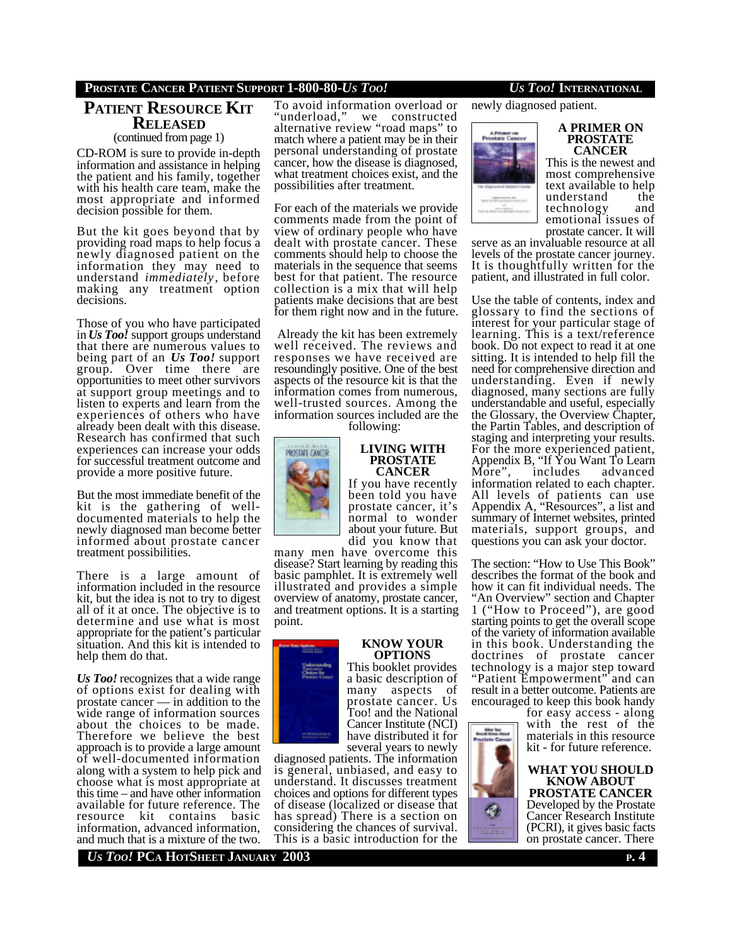## **PROSTATE CANCER PATIENT SUPPORT 1-800-80-***US TOO! US TOO!* **INTERNATIONAL**

# **PATIENT RESOURCE KIT RELEASED**

(continued from page 1)

CD-ROM is sure to provide in-depth information and assistance in helping the patient and his family, together with his health care team, make the most appropriate and informed decision possible for them.

But the kit goes beyond that by providing road maps to help focus a newly diagnosed patient on the information they may need to understand *immediately*, before making any treatment option decisions.

Those of you who have participated in *Us Too!* support groups understand that there are numerous values to being part of an *Us Too!* support group. Over time there are opportunities to meet other survivors at support group meetings and to listen to experts and learn from the experiences of others who have already been dealt with this disease. Research has confirmed that such experiences can increase your odds for successful treatment outcome and provide a more positive future.

But the most immediate benefit of the kit is the gathering of welldocumented materials to help the newly diagnosed man become better informed about prostate cancer treatment possibilities.

There is a large amount of information included in the resource kit, but the idea is not to try to digest all of it at once. The objective is to determine and use what is most appropriate for the patient's particular situation. And this kit is intended to help them do that.

*Us Too!* recognizes that a wide range of options exist for dealing with prostate cancer — in addition to the wide range of information sources about the choices to be made. Therefore we believe the best approach is to provide a large amount of well-documented information along with a system to help pick and choose what is most appropriate at this time – and have other information available for future reference. The resource kit contains basic information, advanced information, and much that is a mixture of the two.

To avoid information overload or "underload," we constructed alternative review "road maps" to match where a patient may be in their personal understanding of prostate cancer, how the disease is diagnosed, what treatment choices exist, and the possibilities after treatment.

For each of the materials we provide comments made from the point of view of ordinary people who have dealt with prostate cancer. These comments should help to choose the materials in the sequence that seems best for that patient. The resource collection is a mix that will help patients make decisions that are best for them right now and in the future.

 Already the kit has been extremely well received. The reviews and responses we have received are resoundingly positive. One of the best aspects of the resource kit is that the information comes from numerous, well-trusted sources. Among the information sources included are the

following:

![](_page_3_Picture_13.jpeg)

**LIVING WITH PROSTATE CANCER** If you have recently

been told you have prostate cancer, it's normal to wonder about your future. But did you know that

many men have overcome this disease? Start learning by reading this basic pamphlet. It is extremely well illustrated and provides a simple overview of anatomy, prostate cancer, and treatment options. It is a starting point.

![](_page_3_Picture_17.jpeg)

# **KNOW YOUR OPTIONS**

This booklet provides a basic description of many aspects of prostate cancer. Us Too! and the National Cancer Institute (NCI) have distributed it for several years to newly

diagnosed patients. The information is general, unbiased, and easy to understand. It discusses treatment choices and options for different types of disease (localized or disease that has spread) There is a section on considering the chances of survival. This is a basic introduction for the

newly diagnosed patient.

![](_page_3_Picture_23.jpeg)

#### **A PRIMER ON PROSTATE CANCER**

This is the newest and most comprehensive text available to help understand the<br>technology and technology emotional issues of prostate cancer. It will

serve as an invaluable resource at all levels of the prostate cancer journey. It is thoughtfully written for the patient, and illustrated in full color.

Use the table of contents, index and glossary to find the sections of interest for your particular stage of learning. This is a text/reference book. Do not expect to read it at one sitting. It is intended to help fill the need for comprehensive direction and understanding. Even if newly diagnosed, many sections are fully understandable and useful, especially the Glossary, the Overview Chapter, the Partin Tables, and description of staging and interpreting your results. For the more experienced patient, Appendix B, "If You Want To Learn More", includes advanced information related to each chapter. All levels of patients can use Appendix A, "Resources", a list and summary of Internet websites, printed materials, support groups, and questions you can ask your doctor.

The section: "How to Use This Book" describes the format of the book and how it can fit individual needs. The "An Overview" section and Chapter 1 ("How to Proceed"), are good starting points to get the overall scope of the variety of information available in this book. Understanding the doctrines of prostate cancer technology is a major step toward "Patient Empowerment" and can result in a better outcome. Patients are encouraged to keep this book handy

for easy access - along with the rest of the materials in this resource kit - for future reference.

![](_page_3_Picture_30.jpeg)

*US TOO!* **PCA HOTSHEET JANUARY 2003 P. 4**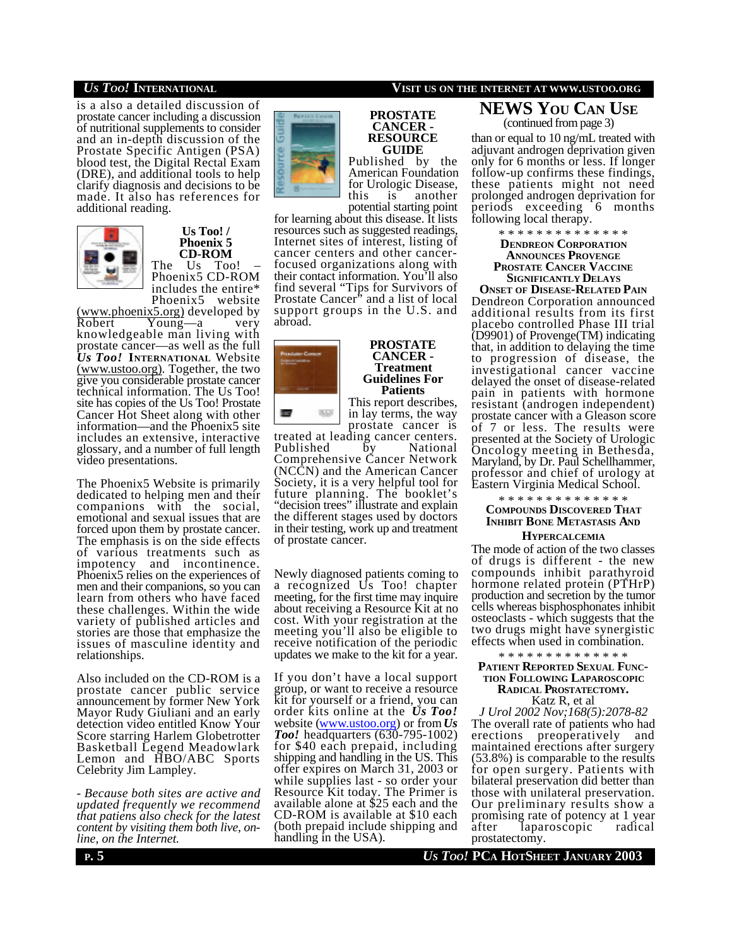is a also a detailed discussion of prostate cancer including a discussion of nutritional supplements to consider and an in-depth discussion of the Prostate Specific Antigen (PSA) blood test, the Digital Rectal Exam (DRE), and additional tools to help clarify diagnosis and decisions to be made. It also has references for additional reading.

![](_page_4_Picture_2.jpeg)

#### **Us Too! / Phoenix 5 CD-ROM** The Us Too!

Phoenix5 CD-ROM includes the entire\* Phoenix $5$ 

 $\frac{\text{(www.phoenix5.org)}}{\text{Robert}}$  developed by<br>Robert Young—a very  $\overline{\text{Young}}$ —a very knowledgeable man living with prostate cancer—as well as the full *Us Too!* **INTERNATIONAL** Website (www.ustoo.org). Together, the two give you considerable prostate cancer technical information. The Us Too! site has copies of the Us Too! Prostate Cancer Hot Sheet along with other information—and the Phoenix5 site includes an extensive, interactive glossary, and a number of full length video presentations.

The Phoenix5 Website is primarily dedicated to helping men and their companions with the social, emotional and sexual issues that are forced upon them by prostate cancer. The emphasis is on the side effects of various treatments such as impotency and incontinence. Phoenix5 relies on the experiences of men and their companions, so you can learn from others who have faced these challenges. Within the wide variety of published articles and stories are those that emphasize the issues of masculine identity and relationships.

Also included on the CD-ROM is a prostate cancer public service announcement by former New York Mayor Rudy Giuliani and an early detection video entitled Know Your Score starring Harlem Globetrotter Basketball Legend Meadowlark Lemon and HBO/ABC Sports Celebrity Jim Lampley.

*- Because both sites are active and updated frequently we recommend that patiens also check for the latest content by visiting them both live, online, on the Internet.*

![](_page_4_Picture_9.jpeg)

#### **PROSTATE CANCER - RESOURCE GUIDE**

Published by the American Foundation for Urologic Disease,<br>this is another another potential starting point

for learning about this disease. It lists resources such as suggested readings, Internet sites of interest, listing of cancer centers and other cancerfocused organizations along with their contact information. You'll also find several "Tips for Survivors of Prostate Cancer<sup>\*</sup> and a list of local support groups in the U.S. and abroad.

![](_page_4_Picture_13.jpeg)

**PROSTATE CANCER - Treatment Guidelines For Patients** This report describes,

in lay terms, the way prostate cancer is

treated at leading cancer centers.<br>Published by National Published by Comprehensive Cancer Network (NCCN) and the American Cancer Society, it is a very helpful tool for future planning. The booklet's "decision trees" illustrate and explain the different stages used by doctors in their testing, work up and treatment of prostate cancer.

Newly diagnosed patients coming to a recognized Us Too! chapter meeting, for the first time may inquire about receiving a Resource Kit at no cost. With your registration at the meeting you'll also be eligible to receive notification of the periodic updates we make to the kit for a year.

If you don't have a local support group, or want to receive a resource kit for yourself or a friend, you can order kits online at the *Us Too!* website (www.ustoo.org) or from *Us Too!* headquarters (630-795-1002) for \$40 each prepaid, including shipping and handling in the US. This offer expires on March 31, 2003 or while supplies last - so order your Resource Kit today. The Primer is available alone at \$25 each and the CD-ROM is available at \$10 each (both prepaid include shipping and handling in the USA).

## *US TOO!* **INTERNATIONAL VISIT US ON THE INTERNET AT WWW.USTOO.ORG**

**NEWS YOU CAN USE** (continued from page 3)

than or equal to 10 ng/mL treated with adjuvant androgen deprivation given only for 6 months or less. If longer follow-up confirms these findings, these patients might not need prolonged androgen deprivation for periods exceeding 6 months following local therapy.

> \* \* \* \* \* \* \* \* \* \* \* \* \* \* **DENDREON CORPORATION ANNOUNCES PROVENGE PROSTATE CANCER VACCINE SIGNIFICANTLY DELAYS**

**ONSET OF DISEASE-RELATED PAIN** Dendreon Corporation announced additional results from its first placebo controlled Phase III trial (D9901) of Provenge(TM) indicating that, in addition to delaying the time to progression of disease, the investigational cancer vaccine delayed the onset of disease-related pain in patients with hormone resistant (androgen independent) prostate cancer with a Gleason score of 7 or less. The results were presented at the Society of Urologic Oncology meeting in Bethesda, Maryland, by Dr. Paul Schellhammer, professor and chief of urology at Eastern Virginia Medical School.

\* \* \* \* \* \* \* \* \* \* \* \* \* \*

### **COMPOUNDS DISCOVERED THAT INHIBIT BONE METASTASIS AND HYPERCALCEMIA**

The mode of action of the two classes of drugs is different - the new compounds inhibit parathyroid hormone related protein (PTHrP) production and secretion by the tumor cells whereas bisphosphonates inhibit osteoclasts - which suggests that the two drugs might have synergistic effects when used in combination.

### \* \* \* \* \* \* \* \* \* \* \* \* **PATIENT REPORTED SEXUAL FUNC-TION FOLLOWING LAPAROSCOPIC RADICAL PROSTATECTOMY.**

Katz R, et al *J Urol 2002 Nov;168(5):2078-82*

The overall rate of patients who had erections preoperatively and maintained erections after surgery (53.8%) is comparable to the results for open surgery. Patients with bilateral preservation did better than those with unilateral preservation. Our preliminary results show a promising rate of potency at 1 year after laparoscopic radical prostatectomy.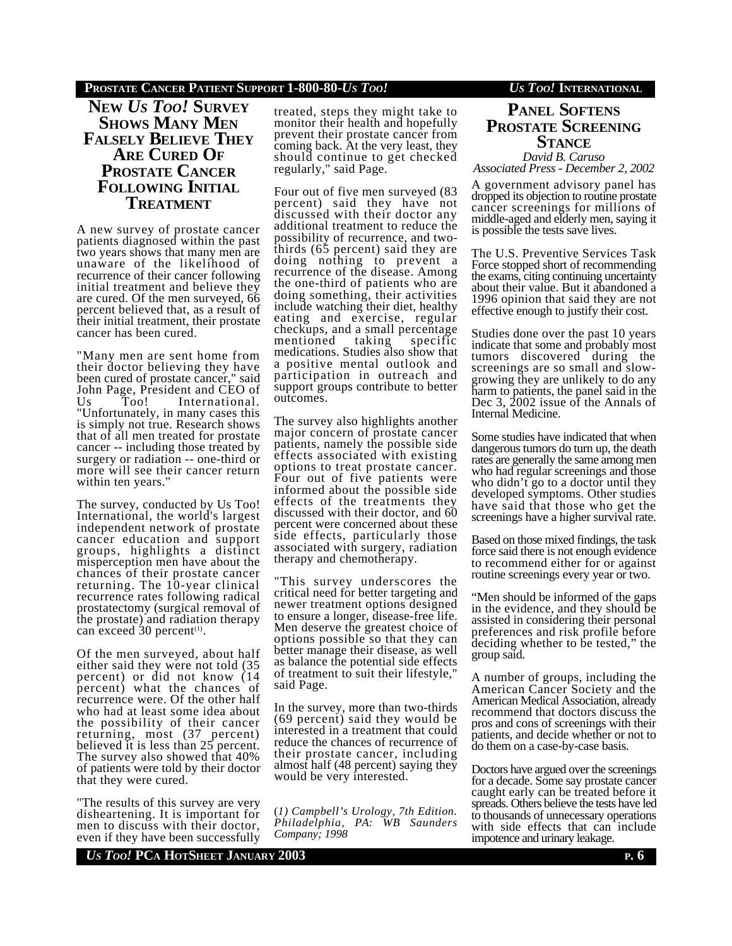## **PROSTATE CANCER PATIENT SUPPORT 1-800-80-***US TOO! US TOO!* **INTERNATIONAL**

**NEW** *US TOO!* **SURVEY SHOWS MANY MEN FALSELY BELIEVE THEY ARE CURED OF PROSTATE CANCER FOLLOWING INITIAL TREATMENT**

A new survey of prostate cancer patients diagnosed within the past two years shows that many men are unaware of the likelihood of recurrence of their cancer following initial treatment and believe they are cured. Of the men surveyed, 66 percent believed that, as a result of their initial treatment, their prostate cancer has been cured.

"Many men are sent home from their doctor believing they have been cured of prostate cancer," said John Page, President and CEO of Us Too! International. "Unfortunately, in many cases this is simply not true. Research shows that of all men treated for prostate cancer -- including those treated by surgery or radiation -- one-third or more will see their cancer return within ten years.

The survey, conducted by Us Too! International, the world's largest independent network of prostate cancer education and support groups, highlights a distinct misperception men have about the chances of their prostate cancer returning. The 10-year clinical recurrence rates following radical prostatectomy (surgical removal of the prostate) and radiation therapy can exceed  $30$  percent<sup>(1)</sup>.

Of the men surveyed, about half either said they were not told (35 percent) or did not know (14 percent) what the chances of recurrence were. Of the other half who had at least some idea about the possibility of their cancer returning, most (37 percent) believed it is less than 25 percent. The survey also showed that 40% of patients were told by their doctor that they were cured.

"The results of this survey are very disheartening. It is important for men to discuss with their doctor, even if they have been successfully treated, steps they might take to monitor their health and hopefully prevent their prostate cancer from coming back. At the very least, they should continue to get checked regularly," said Page.

Four out of five men surveyed (83 percent) said they have not discussed with their doctor any additional treatment to reduce the possibility of recurrence, and twothirds (65 percent) said they are doing nothing to prevent a recurrence of the disease. Among the one-third of patients who are doing something, their activities include watching their diet, healthy eating and exercise, regular checkups, and a small percentage<br>mentioned taking specific mentioned medications. Studies also show that a positive mental outlook and participation in outreach and support groups contribute to better outcomes.

The survey also highlights another major concern of prostate cancer patients, namely the possible side effects associated with existing options to treat prostate cancer. Four out of five patients were informed about the possible side effects of the treatments they discussed with their doctor, and 60 percent were concerned about these side effects, particularly those associated with surgery, radiation therapy and chemotherapy.

"This survey underscores the critical need for better targeting and newer treatment options designed to ensure a longer, disease-free life. Men deserve the greatest choice of options possible so that they can better manage their disease, as well as balance the potential side effects of treatment to suit their lifestyle," said Page.

In the survey, more than two-thirds (69 percent) said they would be interested in a treatment that could reduce the chances of recurrence of their prostate cancer, including almost half (48 percent) saying they would be very interested.

(*1) Campbell's Urology, 7th Edition. Philadelphia, PA: WB Saunders Company; 1998*

# **PANEL SOFTENS PROSTATE SCREENING STANCE**

*David B. Caruso Associated Press - December 2, 2002*

A government advisory panel has dropped its objection to routine prostate cancer screenings for millions of middle-aged and elderly men, saying it is possible the tests save lives.

The U.S. Preventive Services Task Force stopped short of recommending the exams, citing continuing uncertainty about their value. But it abandoned a 1996 opinion that said they are not effective enough to justify their cost.

Studies done over the past 10 years indicate that some and probably most tumors discovered during the screenings are so small and slowgrowing they are unlikely to do any harm to patients, the panel said in the Dec 3, 2002 issue of the Annals of Internal Medicine.

Some studies have indicated that when dangerous tumors do turn up, the death rates are generally the same among men who had regular screenings and those who didn't go to a doctor until they developed symptoms. Other studies have said that those who get the screenings have a higher survival rate.

Based on those mixed findings, the task force said there is not enough evidence to recommend either for or against routine screenings every year or two.

"Men should be informed of the gaps in the evidence, and they should be assisted in considering their personal preferences and risk profile before deciding whether to be tested," the group said.

A number of groups, including the American Cancer Society and the American Medical Association, already recommend that doctors discuss the pros and cons of screenings with their patients, and decide whether or not to do them on a case-by-case basis.

Doctors have argued over the screenings for a decade. Some say prostate cancer caught early can be treated before it spreads. Others believe the tests have led to thousands of unnecessary operations with side effects that can include impotence and urinary leakage.

*US TOO!* **PCA HOTSHEET JANUARY 2003 P. 6**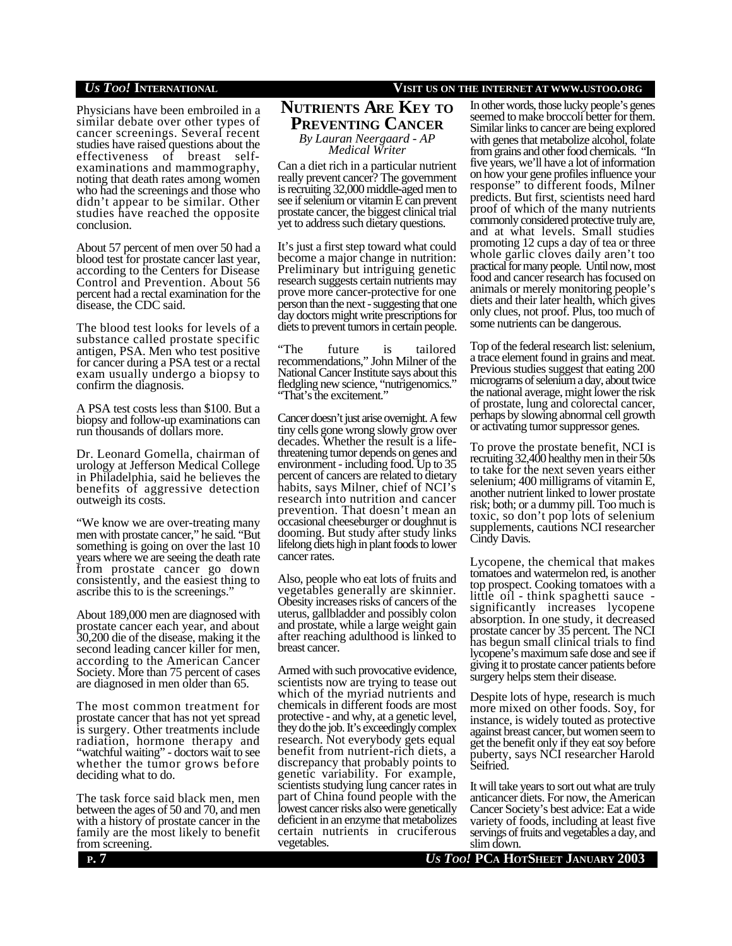Physicians have been embroiled in a similar debate over other types of cancer screenings. Several recent studies have raised questions about the effectiveness of breast selfexaminations and mammography, noting that death rates among women who had the screenings and those who didn't appear to be similar. Other studies have reached the opposite conclusion.

About 57 percent of men over 50 had a blood test for prostate cancer last year, according to the Centers for Disease Control and Prevention. About 56 percent had a rectal examination for the disease, the CDC said.

The blood test looks for levels of a substance called prostate specific antigen, PSA. Men who test positive for cancer during a PSA test or a rectal exam usually undergo a biopsy to confirm the diagnosis.

A PSA test costs less than \$100. But a biopsy and follow-up examinations can run thousands of dollars more.

Dr. Leonard Gomella, chairman of urology at Jefferson Medical College in Philadelphia, said he believes the benefits of aggressive detection outweigh its costs.

"We know we are over-treating many men with prostate cancer," he said. "But something is going on over the last 10 years where we are seeing the death rate from prostate cancer go down consistently, and the easiest thing to ascribe this to is the screenings."

About 189,000 men are diagnosed with prostate cancer each year, and about 30,200 die of the disease, making it the second leading cancer killer for men, according to the American Cancer Society. More than 75 percent of cases are diagnosed in men older than 65.

The most common treatment for prostate cancer that has not yet spread is surgery. Other treatments include radiation, hormone therapy and "watchful waiting" - doctors wait to see whether the tumor grows before deciding what to do.

The task force said black men, men between the ages of 50 and 70, and men with a history of prostate cancer in the family are the most likely to benefit from screening.

# **NUTRIENTS ARE KEY TO PREVENTING CANCER** *By Lauran Neergaard - AP Medical Writer*

Can a diet rich in a particular nutrient really prevent cancer? The government is recruiting 32,000 middle-aged men to see if selenium or vitamin E can prevent prostate cancer, the biggest clinical trial yet to address such dietary questions.

It's just a first step toward what could become a major change in nutrition: Preliminary but intriguing genetic research suggests certain nutrients may prove more cancer-protective for one person than the next - suggesting that one day doctors might write prescriptions for diets to prevent tumors in certain people.

"The future is tailored recommendations," John Milner of the National Cancer Institute says about this fledgling new science, "nutrigenomics." "That's the excitement."

Cancer doesn't just arise overnight. A few tiny cells gone wrong slowly grow over decades. Whether the result is a lifethreatening tumor depends on genes and environment - including food. Up to 35 percent of cancers are related to dietary habits, says Milner, chief of NCI's research into nutrition and cancer prevention. That doesn't mean an occasional cheeseburger or doughnut is dooming. But study after study links lifelong diets high in plant foods to lower cancer rates.

Also, people who eat lots of fruits and vegetables generally are skinnier. Obesity increases risks of cancers of the uterus, gallbladder and possibly colon and prostate, while a large weight gain after reaching adulthood is linked to breast cancer.

Armed with such provocative evidence, scientists now are trying to tease out which of the myriad nutrients and chemicals in different foods are most protective - and why, at a genetic level, they do the job. It's exceedingly complex research. Not everybody gets equal benefit from nutrient-rich diets, a discrepancy that probably points to genetic variability. For example, scientists studying lung cancer rates in part of China found people with the lowest cancer risks also were genetically deficient in an enzyme that metabolizes certain nutrients in cruciferous vegetables.

### *US TOO!* **INTERNATIONAL VISIT US ON THE INTERNET AT WWW.USTOO.ORG**

In other words, those lucky people's genes seemed to make broccoli better for them. Similar links to cancer are being explored with genes that metabolize alcohol, folate from grains and other food chemicals. "In five years, we'll have a lot of information on how your gene profiles influence your response" to different foods, Milner predicts. But first, scientists need hard proof of which of the many nutrients commonly considered protective truly are, and at what levels. Small studies promoting 12 cups a day of tea or three whole garlic cloves daily aren't too practical for many people. Until now, most food and cancer research has focused on animals or merely monitoring people's diets and their later health, which gives only clues, not proof. Plus, too much of some nutrients can be dangerous.

Top of the federal research list: selenium, a trace element found in grains and meat. Previous studies suggest that eating 200 micrograms of selenium a day, about twice the national average, might lower the risk of prostate, lung and colorectal cancer, perhaps by slowing abnormal cell growth or activating tumor suppressor genes.

To prove the prostate benefit, NCI is recruiting 32,400 healthy men in their 50s to take for the next seven years either selenium; 400 milligrams of vitamin E, another nutrient linked to lower prostate risk; both; or a dummy pill. Too much is toxic, so don't pop lots of selenium supplements, cautions NCI researcher Cindy Davis.

Lycopene, the chemical that makes tomatoes and watermelon red, is another top prospect. Cooking tomatoes with a little oil - think spaghetti sauce significantly increases lycopene absorption. In one study, it decreased prostate cancer by 35 percent. The NCI has begun small clinical trials to find lycopene's maximum safe dose and see if giving it to prostate cancer patients before surgery helps stem their disease.

Despite lots of hype, research is much more mixed on other foods. Soy, for instance, is widely touted as protective against breast cancer, but women seem to get the benefit only if they eat soy before puberty, says NCI researcher Harold Seifried.

It will take years to sort out what are truly anticancer diets. For now, the American Cancer Society's best advice: Eat a wide variety of foods, including at least five servings of fruits and vegetables a day, and slim down.

**P**. 7 *Us Too!* **PCA HOTSHEET JANUARY 2003**